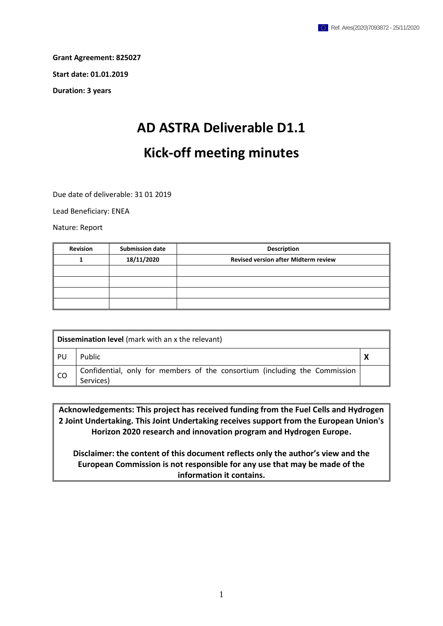**Grant Agreement: 825027 Start date: 01.01.2019**

**Duration: 3 years**

## **AD ASTRA Deliverable D1.1 Kick-off meeting minutes**

Due date of deliverable: 31 01 2019

Lead Beneficiary: ENEA

Nature: Report

| <b>Revision</b> | <b>Submission date</b> | <b>Description</b>                          |
|-----------------|------------------------|---------------------------------------------|
|                 | 18/11/2020             | <b>Revised version after Midterm review</b> |
|                 |                        |                                             |
|                 |                        |                                             |
|                 |                        |                                             |
|                 |                        |                                             |

| <b>Dissemination level</b> (mark with an x the relevant) |                                                                                         |  |  |  |
|----------------------------------------------------------|-----------------------------------------------------------------------------------------|--|--|--|
| - PU                                                     | Public                                                                                  |  |  |  |
| <b>CO</b>                                                | Confidential, only for members of the consortium (including the Commission<br>Services) |  |  |  |

**Acknowledgements: This project has received funding from the Fuel Cells and Hydrogen 2 Joint Undertaking. This Joint Undertaking receives support from the European Union's Horizon 2020 research and innovation program and Hydrogen Europe.**

**Disclaimer: the content of this document reflects only the author's view and the European Commission is not responsible for any use that may be made of the information it contains.**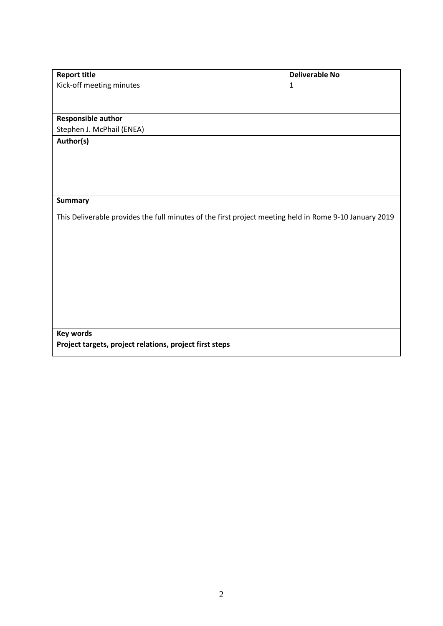| <b>Report title</b>                                                                                    | <b>Deliverable No</b> |
|--------------------------------------------------------------------------------------------------------|-----------------------|
| Kick-off meeting minutes                                                                               | $\mathbf{1}$          |
|                                                                                                        |                       |
|                                                                                                        |                       |
| <b>Responsible author</b>                                                                              |                       |
| Stephen J. McPhail (ENEA)                                                                              |                       |
| Author(s)                                                                                              |                       |
|                                                                                                        |                       |
|                                                                                                        |                       |
|                                                                                                        |                       |
|                                                                                                        |                       |
| <b>Summary</b>                                                                                         |                       |
|                                                                                                        |                       |
| This Deliverable provides the full minutes of the first project meeting held in Rome 9-10 January 2019 |                       |
|                                                                                                        |                       |
|                                                                                                        |                       |
|                                                                                                        |                       |
|                                                                                                        |                       |
|                                                                                                        |                       |
|                                                                                                        |                       |
|                                                                                                        |                       |
|                                                                                                        |                       |
|                                                                                                        |                       |
| <b>Key words</b>                                                                                       |                       |
| Project targets, project relations, project first steps                                                |                       |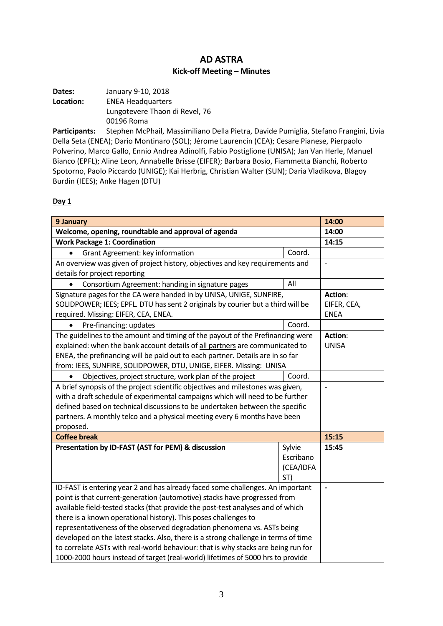## **AD ASTRA Kick-off Meeting – Minutes**

| Dates:    | January 9-10, 2018             |
|-----------|--------------------------------|
| Location: | <b>ENEA Headquarters</b>       |
|           | Lungotevere Thaon di Revel, 76 |
|           | 00196 Roma                     |

**Participants:** Stephen McPhail, Massimiliano Della Pietra, Davide Pumiglia, Stefano Frangini, Livia Della Seta (ENEA); Dario Montinaro (SOL); Jérome Laurencin (CEA); Cesare Pianese, Pierpaolo Polverino, Marco Gallo, Ennio Andrea Adinolfi, Fabio Postiglione (UNISA); Jan Van Herle, Manuel Bianco (EPFL); Aline Leon, Annabelle Brisse (EIFER); Barbara Bosio, Fiammetta Bianchi, Roberto Spotorno, Paolo Piccardo (UNIGE); Kai Herbrig, Christian Walter (SUN); Daria Vladikova, Blagoy Burdin (IEES); Anke Hagen (DTU)

## **Day 1**

| 9 January                                                                          |           | 14:00          |
|------------------------------------------------------------------------------------|-----------|----------------|
| Welcome, opening, roundtable and approval of agenda                                |           | 14:00          |
| <b>Work Package 1: Coordination</b>                                                |           | 14:15          |
| Grant Agreement: key information                                                   | Coord.    |                |
| An overview was given of project history, objectives and key requirements and      |           | $\overline{a}$ |
| details for project reporting                                                      |           |                |
| Consortium Agreement: handing in signature pages                                   | All       |                |
| Signature pages for the CA were handed in by UNISA, UNIGE, SUNFIRE,                |           | Action:        |
| SOLIDPOWER; IEES; EPFL. DTU has sent 2 originals by courier but a third will be    |           | EIFER, CEA,    |
| required. Missing: EIFER, CEA, ENEA.                                               |           | <b>ENEA</b>    |
| Pre-financing: updates                                                             | Coord.    |                |
| The guidelines to the amount and timing of the payout of the Prefinancing were     |           | Action:        |
| explained: when the bank account details of all partners are communicated to       |           | <b>UNISA</b>   |
| ENEA, the prefinancing will be paid out to each partner. Details are in so far     |           |                |
| from: IEES, SUNFIRE, SOLIDPOWER, DTU, UNIGE, EIFER. Missing: UNISA                 |           |                |
| Objectives, project structure, work plan of the project                            | Coord.    |                |
| A brief synopsis of the project scientific objectives and milestones was given,    |           | $\overline{a}$ |
| with a draft schedule of experimental campaigns which will need to be further      |           |                |
| defined based on technical discussions to be undertaken between the specific       |           |                |
| partners. A monthly telco and a physical meeting every 6 months have been          |           |                |
| proposed.                                                                          |           |                |
| <b>Coffee break</b>                                                                |           | 15:15          |
| Presentation by ID-FAST (AST for PEM) & discussion                                 | Sylvie    | 15:45          |
|                                                                                    | Escribano |                |
|                                                                                    | (CEA/IDFA |                |
|                                                                                    | ST)       |                |
| ID-FAST is entering year 2 and has already faced some challenges. An important     |           |                |
| point is that current-generation (automotive) stacks have progressed from          |           |                |
| available field-tested stacks (that provide the post-test analyses and of which    |           |                |
| there is a known operational history). This poses challenges to                    |           |                |
| representativeness of the observed degradation phenomena vs. ASTs being            |           |                |
| developed on the latest stacks. Also, there is a strong challenge in terms of time |           |                |
| to correlate ASTs with real-world behaviour: that is why stacks are being run for  |           |                |
| 1000-2000 hours instead of target (real-world) lifetimes of 5000 hrs to provide    |           |                |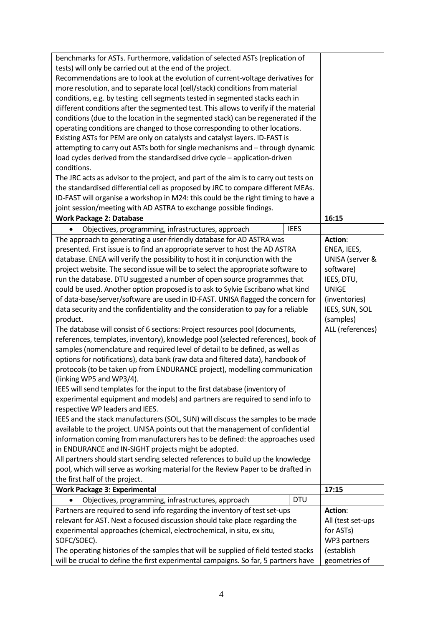| benchmarks for ASTs. Furthermore, validation of selected ASTs (replication of        |                  |                   |
|--------------------------------------------------------------------------------------|------------------|-------------------|
| tests) will only be carried out at the end of the project.                           |                  |                   |
| Recommendations are to look at the evolution of current-voltage derivatives for      |                  |                   |
| more resolution, and to separate local (cell/stack) conditions from material         |                  |                   |
| conditions, e.g. by testing cell segments tested in segmented stacks each in         |                  |                   |
| different conditions after the segmented test. This allows to verify if the material |                  |                   |
| conditions (due to the location in the segmented stack) can be regenerated if the    |                  |                   |
| operating conditions are changed to those corresponding to other locations.          |                  |                   |
| Existing ASTs for PEM are only on catalysts and catalyst layers. ID-FAST is          |                  |                   |
| attempting to carry out ASTs both for single mechanisms and - through dynamic        |                  |                   |
| load cycles derived from the standardised drive cycle - application-driven           |                  |                   |
| conditions.                                                                          |                  |                   |
| The JRC acts as advisor to the project, and part of the aim is to carry out tests on |                  |                   |
| the standardised differential cell as proposed by JRC to compare different MEAs.     |                  |                   |
| ID-FAST will organise a workshop in M24: this could be the right timing to have a    |                  |                   |
| joint session/meeting with AD ASTRA to exchange possible findings.                   |                  |                   |
| <b>Work Package 2: Database</b>                                                      |                  | 16:15             |
| Objectives, programming, infrastructures, approach                                   | <b>IEES</b>      |                   |
| The approach to generating a user-friendly database for AD ASTRA was                 |                  | Action:           |
| presented. First issue is to find an appropriate server to host the AD ASTRA         |                  | ENEA, IEES,       |
|                                                                                      |                  |                   |
| database. ENEA will verify the possibility to host it in conjunction with the        |                  | UNISA (server &   |
| project website. The second issue will be to select the appropriate software to      |                  | software)         |
| run the database. DTU suggested a number of open source programmes that              |                  | IEES, DTU,        |
| could be used. Another option proposed is to ask to Sylvie Escribano what kind       |                  | <b>UNIGE</b>      |
| of data-base/server/software are used in ID-FAST. UNISA flagged the concern for      |                  | (inventories)     |
| data security and the confidentiality and the consideration to pay for a reliable    |                  | IEES, SUN, SOL    |
| product.                                                                             |                  | (samples)         |
| The database will consist of 6 sections: Project resources pool (documents,          | ALL (references) |                   |
| references, templates, inventory), knowledge pool (selected references), book of     |                  |                   |
| samples (nomenclature and required level of detail to be defined, as well as         |                  |                   |
| options for notifications), data bank (raw data and filtered data), handbook of      |                  |                   |
| protocols (to be taken up from ENDURANCE project), modelling communication           |                  |                   |
| (linking WP5 and WP3/4).                                                             |                  |                   |
| IEES will send templates for the input to the first database (inventory of           |                  |                   |
| experimental equipment and models) and partners are required to send info to         |                  |                   |
| respective WP leaders and IEES.                                                      |                  |                   |
| IEES and the stack manufacturers (SOL, SUN) will discuss the samples to be made      |                  |                   |
| available to the project. UNISA points out that the management of confidential       |                  |                   |
| information coming from manufacturers has to be defined: the approaches used         |                  |                   |
| in ENDURANCE and IN-SIGHT projects might be adopted.                                 |                  |                   |
| All partners should start sending selected references to build up the knowledge      |                  |                   |
| pool, which will serve as working material for the Review Paper to be drafted in     |                  |                   |
| the first half of the project.                                                       |                  |                   |
| <b>Work Package 3: Experimental</b>                                                  |                  | 17:15             |
| Objectives, programming, infrastructures, approach                                   | <b>DTU</b>       |                   |
| Partners are required to send info regarding the inventory of test set-ups           |                  | Action:           |
| relevant for AST. Next a focused discussion should take place regarding the          |                  | All (test set-ups |
| experimental approaches (chemical, electrochemical, in situ, ex situ,                |                  | for ASTs)         |
| SOFC/SOEC).                                                                          |                  | WP3 partners      |
| The operating histories of the samples that will be supplied of field tested stacks  |                  | (establish        |
| will be crucial to define the first experimental campaigns. So far, 5 partners have  |                  | geometries of     |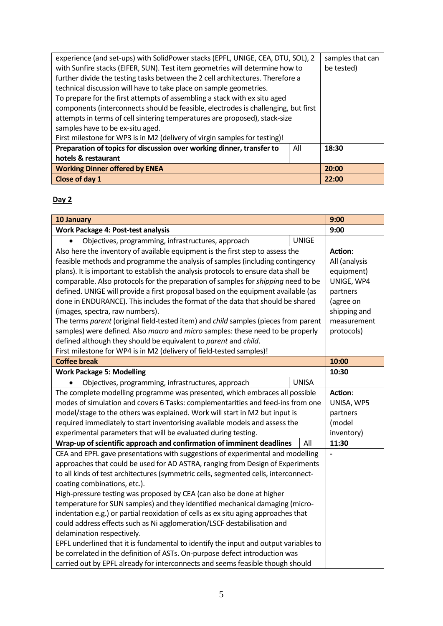| experience (and set-ups) with SolidPower stacks (EPFL, UNIGE, CEA, DTU, SOL), 2    | samples that can |       |
|------------------------------------------------------------------------------------|------------------|-------|
| with Sunfire stacks (EIFER, SUN). Test item geometries will determine how to       | be tested)       |       |
| further divide the testing tasks between the 2 cell architectures. Therefore a     |                  |       |
| technical discussion will have to take place on sample geometries.                 |                  |       |
| To prepare for the first attempts of assembling a stack with ex situ aged          |                  |       |
| components (interconnects should be feasible, electrodes is challenging, but first |                  |       |
| attempts in terms of cell sintering temperatures are proposed), stack-size         |                  |       |
| samples have to be ex-situ aged.                                                   |                  |       |
| First milestone for WP3 is in M2 (delivery of virgin samples for testing)!         |                  |       |
| Preparation of topics for discussion over working dinner, transfer to              | All              | 18:30 |
| hotels & restaurant                                                                |                  |       |
| <b>Working Dinner offered by ENEA</b>                                              |                  | 20:00 |
| Close of day 1                                                                     |                  | 22:00 |

## **Day 2**

| 10 January                                                                           |              | 9:00           |
|--------------------------------------------------------------------------------------|--------------|----------------|
| Work Package 4: Post-test analysis                                                   | 9:00         |                |
| Objectives, programming, infrastructures, approach                                   | <b>UNIGE</b> |                |
| Also here the inventory of available equipment is the first step to assess the       |              | <b>Action:</b> |
| feasible methods and programme the analysis of samples (including contingency        |              | All (analysis  |
| plans). It is important to establish the analysis protocols to ensure data shall be  |              | equipment)     |
| comparable. Also protocols for the preparation of samples for shipping need to be    |              | UNIGE, WP4     |
| defined. UNIGE will provide a first proposal based on the equipment available (as    |              | partners       |
| done in ENDURANCE). This includes the format of the data that should be shared       |              | (agree on      |
| (images, spectra, raw numbers).                                                      |              | shipping and   |
| The terms parent (original field-tested item) and child samples (pieces from parent  |              | measurement    |
| samples) were defined. Also macro and micro samples: these need to be properly       |              | protocols)     |
| defined although they should be equivalent to parent and child.                      |              |                |
| First milestone for WP4 is in M2 (delivery of field-tested samples)!                 |              |                |
| <b>Coffee break</b>                                                                  | 10:00        |                |
| <b>Work Package 5: Modelling</b>                                                     | 10:30        |                |
| Objectives, programming, infrastructures, approach                                   | <b>UNISA</b> |                |
| The complete modelling programme was presented, which embraces all possible          |              | Action:        |
| modes of simulation and covers 6 Tasks: complementarities and feed-ins from one      | UNISA, WP5   |                |
| model/stage to the others was explained. Work will start in M2 but input is          |              | partners       |
| required immediately to start inventorising available models and assess the          |              | (model         |
| experimental parameters that will be evaluated during testing.                       |              | inventory)     |
| Wrap-up of scientific approach and confirmation of imminent deadlines                | All          | 11:30          |
| CEA and EPFL gave presentations with suggestions of experimental and modelling       |              |                |
| approaches that could be used for AD ASTRA, ranging from Design of Experiments       |              |                |
| to all kinds of test architectures (symmetric cells, segmented cells, interconnect-  |              |                |
| coating combinations, etc.).                                                         |              |                |
| High-pressure testing was proposed by CEA (can also be done at higher                |              |                |
| temperature for SUN samples) and they identified mechanical damaging (micro-         |              |                |
| indentation e.g.) or partial reoxidation of cells as ex situ aging approaches that   |              |                |
| could address effects such as Ni agglomeration/LSCF destabilisation and              |              |                |
| delamination respectively.                                                           |              |                |
| EPFL underlined that it is fundamental to identify the input and output variables to |              |                |
| be correlated in the definition of ASTs. On-purpose defect introduction was          |              |                |
| carried out by EPFL already for interconnects and seems feasible though should       |              |                |